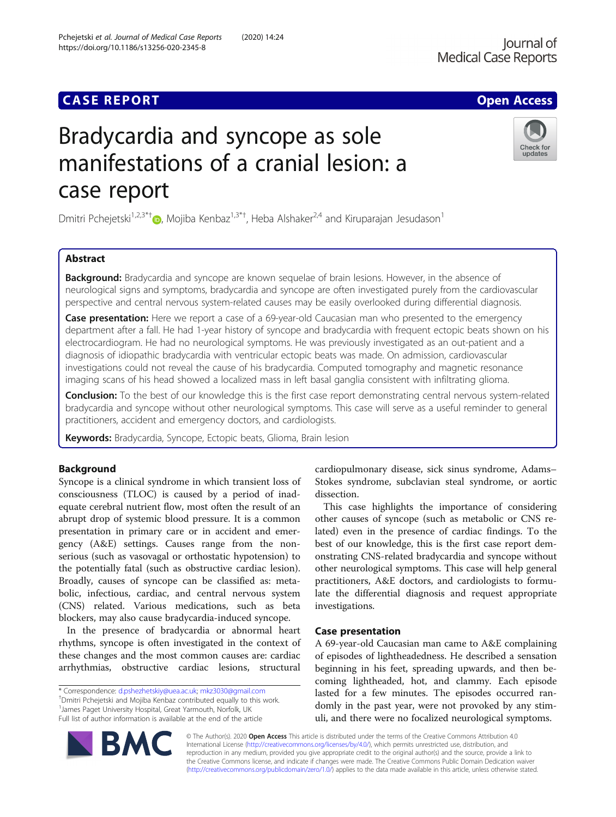# **CASE REPORT CASE ACCESS**

# Bradycardia and syncope as sole manifestations of a cranial lesion: a case report

Dmitri Pchejetski<sup>1,2,3\*[†](http://orcid.org/0000-0003-1074-9261)</sup>®, Mojiba Kenbaz<sup>1,3\*†</sup>, Heba Alshaker<sup>2,4</sup> and Kiruparajan Jesudason<sup>1</sup>

# Abstract

**Background:** Bradycardia and syncope are known sequelae of brain lesions. However, in the absence of neurological signs and symptoms, bradycardia and syncope are often investigated purely from the cardiovascular perspective and central nervous system-related causes may be easily overlooked during differential diagnosis.

**Case presentation:** Here we report a case of a 69-year-old Caucasian man who presented to the emergency department after a fall. He had 1-year history of syncope and bradycardia with frequent ectopic beats shown on his electrocardiogram. He had no neurological symptoms. He was previously investigated as an out-patient and a diagnosis of idiopathic bradycardia with ventricular ectopic beats was made. On admission, cardiovascular investigations could not reveal the cause of his bradycardia. Computed tomography and magnetic resonance imaging scans of his head showed a localized mass in left basal ganglia consistent with infiltrating glioma.

Conclusion: To the best of our knowledge this is the first case report demonstrating central nervous system-related bradycardia and syncope without other neurological symptoms. This case will serve as a useful reminder to general practitioners, accident and emergency doctors, and cardiologists.

Keywords: Bradycardia, Syncope, Ectopic beats, Glioma, Brain lesion

## Background

Syncope is a clinical syndrome in which transient loss of consciousness (TLOC) is caused by a period of inadequate cerebral nutrient flow, most often the result of an abrupt drop of systemic blood pressure. It is a common presentation in primary care or in accident and emergency (A&E) settings. Causes range from the nonserious (such as vasovagal or orthostatic hypotension) to the potentially fatal (such as obstructive cardiac lesion). Broadly, causes of syncope can be classified as: metabolic, infectious, cardiac, and central nervous system (CNS) related. Various medications, such as beta blockers, may also cause bradycardia-induced syncope.

In the presence of bradycardia or abnormal heart rhythms, syncope is often investigated in the context of these changes and the most common causes are: cardiac arrhythmias, obstructive cardiac lesions, structural

Dmitri Pchejetski and Mojiba Kenbaz contributed equally to this work. <sup>1</sup> James Paget University Hospital, Great Yarmouth, Norfolk, UK Full list of author information is available at the end of the article

Stokes syndrome, subclavian steal syndrome, or aortic dissection. This case highlights the importance of considering

cardiopulmonary disease, sick sinus syndrome, Adams–

other causes of syncope (such as metabolic or CNS related) even in the presence of cardiac findings. To the best of our knowledge, this is the first case report demonstrating CNS-related bradycardia and syncope without other neurological symptoms. This case will help general practitioners, A&E doctors, and cardiologists to formulate the differential diagnosis and request appropriate investigations.

### Case presentation

A 69-year-old Caucasian man came to A&E complaining of episodes of lightheadedness. He described a sensation beginning in his feet, spreading upwards, and then becoming lightheaded, hot, and clammy. Each episode lasted for a few minutes. The episodes occurred randomly in the past year, were not provoked by any stimuli, and there were no focalized neurological symptoms.

© The Author(s). 2020 Open Access This article is distributed under the terms of the Creative Commons Attribution 4.0 International License [\(http://creativecommons.org/licenses/by/4.0/](http://creativecommons.org/licenses/by/4.0/)), which permits unrestricted use, distribution, and reproduction in any medium, provided you give appropriate credit to the original author(s) and the source, provide a link to the Creative Commons license, and indicate if changes were made. The Creative Commons Public Domain Dedication waiver [\(http://creativecommons.org/publicdomain/zero/1.0/](http://creativecommons.org/publicdomain/zero/1.0/)) applies to the data made available in this article, unless otherwise stated.





<sup>\*</sup> Correspondence: [d.pshezhetskiy@uea.ac.uk](mailto:d.pshezhetskiy@uea.ac.uk); [mkz3030@gmail.com](mailto:mkz3030@gmail.com) †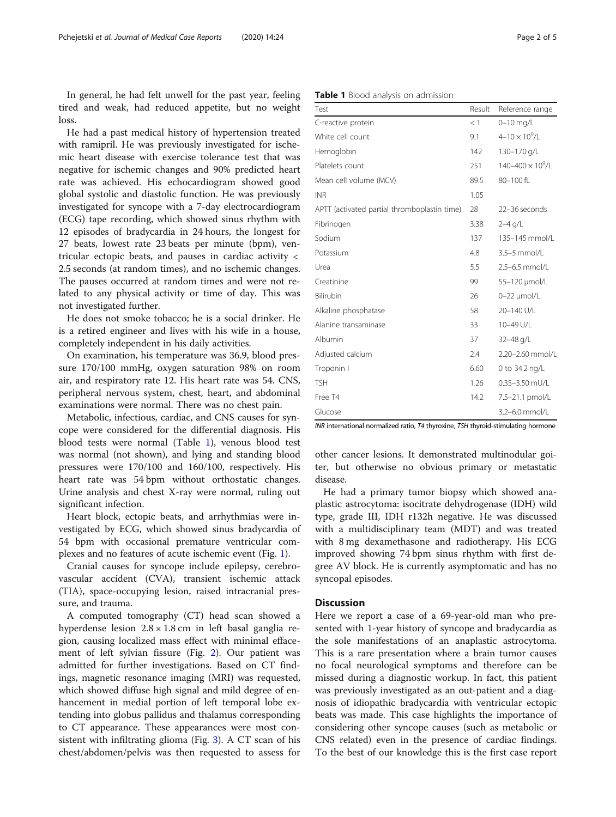In general, he had felt unwell for the past year, feeling tired and weak, had reduced appetite, but no weight loss.

He had a past medical history of hypertension treated with ramipril. He was previously investigated for ischemic heart disease with exercise tolerance test that was negative for ischemic changes and 90% predicted heart rate was achieved. His echocardiogram showed good global systolic and diastolic function. He was previously investigated for syncope with a 7-day electrocardiogram (ECG) tape recording, which showed sinus rhythm with 12 episodes of bradycardia in 24 hours, the longest for 27 beats, lowest rate 23 beats per minute (bpm), ventricular ectopic beats, and pauses in cardiac activity < 2.5 seconds (at random times), and no ischemic changes. The pauses occurred at random times and were not related to any physical activity or time of day. This was not investigated further.

He does not smoke tobacco; he is a social drinker. He is a retired engineer and lives with his wife in a house, completely independent in his daily activities.

On examination, his temperature was 36.9, blood pressure 170/100 mmHg, oxygen saturation 98% on room air, and respiratory rate 12. His heart rate was 54. CNS, peripheral nervous system, chest, heart, and abdominal examinations were normal. There was no chest pain.

Metabolic, infectious, cardiac, and CNS causes for syncope were considered for the differential diagnosis. His blood tests were normal (Table 1), venous blood test was normal (not shown), and lying and standing blood pressures were 170/100 and 160/100, respectively. His heart rate was 54 bpm without orthostatic changes. Urine analysis and chest X-ray were normal, ruling out significant infection.

Heart block, ectopic beats, and arrhythmias were investigated by ECG, which showed sinus bradycardia of 54 bpm with occasional premature ventricular complexes and no features of acute ischemic event (Fig. [1\)](#page-2-0).

Cranial causes for syncope include epilepsy, cerebrovascular accident (CVA), transient ischemic attack (TIA), space-occupying lesion, raised intracranial pressure, and trauma.

A computed tomography (CT) head scan showed a hyperdense lesion  $2.8 \times 1.8$  cm in left basal ganglia region, causing localized mass effect with minimal effacement of left sylvian fissure (Fig. [2\)](#page-2-0). Our patient was admitted for further investigations. Based on CT findings, magnetic resonance imaging (MRI) was requested, which showed diffuse high signal and mild degree of enhancement in medial portion of left temporal lobe extending into globus pallidus and thalamus corresponding to CT appearance. These appearances were most consistent with infiltrating glioma (Fig. [3\)](#page-3-0). A CT scan of his chest/abdomen/pelvis was then requested to assess for

| Table 1 Blood analysis on admission |  |
|-------------------------------------|--|
|-------------------------------------|--|

| Test                                         | Result | Reference range            |
|----------------------------------------------|--------|----------------------------|
| C-reactive protein                           | $<$ 1  | $0 - 10$ mg/L              |
| White cell count                             | 9.1    | $4 - 10 \times 10^9$ /L    |
| Hemoglobin                                   | 142    | 130-170 g/L                |
| Platelets count                              | 251    | $140 - 400 \times 10^9$ /L |
| Mean cell volume (MCV)                       | 89.5   | 80-100 fL                  |
| <b>INR</b>                                   | 1.05   |                            |
| APTT (activated partial thromboplastin time) | 28     | 22-36 seconds              |
| Fibrinogen                                   | 3.38   | $2-4$ g/L                  |
| Sodium                                       | 137    | 135-145 mmol/L             |
| Potassium                                    | 4.8    | 3.5-5 mmol/L               |
| Urea                                         | 5.5    | 2.5-6.5 mmol/L             |
| Creatinine                                   | 99     | 55-120 µmol/L              |
| Bilirubin                                    | 26     | $0-22$ µmol/L              |
| Alkaline phosphatase                         | 58     | 20-140 U/L                 |
| Alanine transaminase                         | 33     | 10-49 U/L                  |
| Albumin                                      | 37     | 32-48 g/L                  |
| Adjusted calcium                             | 2.4    | 2.20-2.60 mmol/L           |
| Troponin I                                   | 6.60   | 0 to 34.2 ng/L             |
| <b>TSH</b>                                   | 1.26   | $0.35 - 3.50$ mU/L         |
| Free T4                                      | 14.2   | 7.5-21.1 pmol/L            |
| Glucose                                      |        | 3.2-6.0 mmol/L             |

INR international normalized ratio, T4 thyroxine, TSH thyroid-stimulating hormone

other cancer lesions. It demonstrated multinodular goiter, but otherwise no obvious primary or metastatic disease.

He had a primary tumor biopsy which showed anaplastic astrocytoma: isocitrate dehydrogenase (IDH) wild type, grade III, IDH r132h negative. He was discussed with a multidisciplinary team (MDT) and was treated with 8 mg dexamethasone and radiotherapy. His ECG improved showing 74 bpm sinus rhythm with first degree AV block. He is currently asymptomatic and has no syncopal episodes.

#### **Discussion**

Here we report a case of a 69-year-old man who presented with 1-year history of syncope and bradycardia as the sole manifestations of an anaplastic astrocytoma. This is a rare presentation where a brain tumor causes no focal neurological symptoms and therefore can be missed during a diagnostic workup. In fact, this patient was previously investigated as an out-patient and a diagnosis of idiopathic bradycardia with ventricular ectopic beats was made. This case highlights the importance of considering other syncope causes (such as metabolic or CNS related) even in the presence of cardiac findings. To the best of our knowledge this is the first case report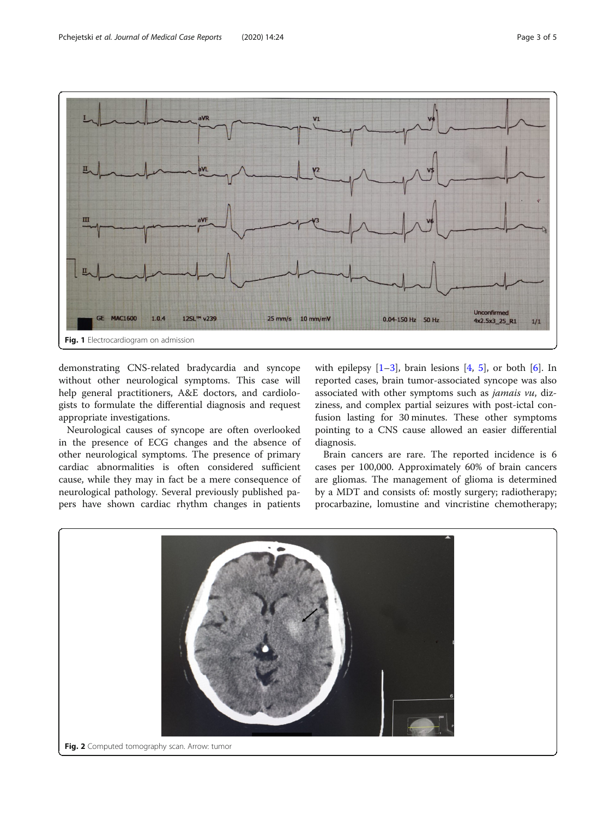<span id="page-2-0"></span>

demonstrating CNS-related bradycardia and syncope without other neurological symptoms. This case will help general practitioners, A&E doctors, and cardiologists to formulate the differential diagnosis and request appropriate investigations.

Neurological causes of syncope are often overlooked in the presence of ECG changes and the absence of other neurological symptoms. The presence of primary cardiac abnormalities is often considered sufficient cause, while they may in fact be a mere consequence of neurological pathology. Several previously published papers have shown cardiac rhythm changes in patients

with epilepsy  $[1-3]$  $[1-3]$  $[1-3]$  $[1-3]$ , brain lesions  $[4, 5]$  $[4, 5]$  $[4, 5]$  $[4, 5]$  $[4, 5]$ , or both  $[6]$  $[6]$  $[6]$ . In reported cases, brain tumor-associated syncope was also associated with other symptoms such as jamais vu, dizziness, and complex partial seizures with post-ictal confusion lasting for 30 minutes. These other symptoms pointing to a CNS cause allowed an easier differential diagnosis.

Brain cancers are rare. The reported incidence is 6 cases per 100,000. Approximately 60% of brain cancers are gliomas. The management of glioma is determined by a MDT and consists of: mostly surgery; radiotherapy; procarbazine, lomustine and vincristine chemotherapy;

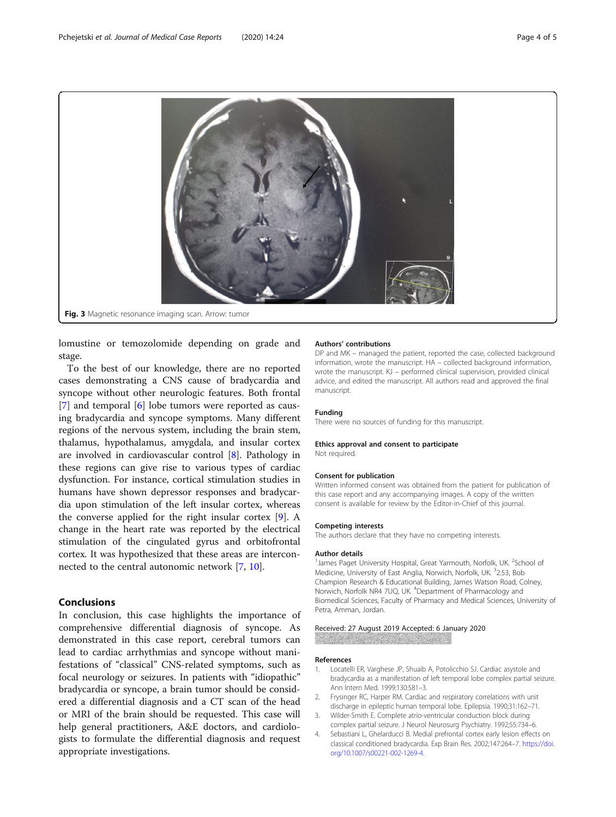<span id="page-3-0"></span>

lomustine or temozolomide depending on grade and stage.

To the best of our knowledge, there are no reported cases demonstrating a CNS cause of bradycardia and syncope without other neurologic features. Both frontal [[7\]](#page-4-0) and temporal [[6\]](#page-4-0) lobe tumors were reported as causing bradycardia and syncope symptoms. Many different regions of the nervous system, including the brain stem, thalamus, hypothalamus, amygdala, and insular cortex are involved in cardiovascular control [[8](#page-4-0)]. Pathology in these regions can give rise to various types of cardiac dysfunction. For instance, cortical stimulation studies in humans have shown depressor responses and bradycardia upon stimulation of the left insular cortex, whereas the converse applied for the right insular cortex [\[9](#page-4-0)]. A change in the heart rate was reported by the electrical stimulation of the cingulated gyrus and orbitofrontal cortex. It was hypothesized that these areas are interconnected to the central autonomic network [[7,](#page-4-0) [10\]](#page-4-0).

# Conclusions

In conclusion, this case highlights the importance of comprehensive differential diagnosis of syncope. As demonstrated in this case report, cerebral tumors can lead to cardiac arrhythmias and syncope without manifestations of "classical" CNS-related symptoms, such as focal neurology or seizures. In patients with "idiopathic" bradycardia or syncope, a brain tumor should be considered a differential diagnosis and a CT scan of the head or MRI of the brain should be requested. This case will help general practitioners, A&E doctors, and cardiologists to formulate the differential diagnosis and request appropriate investigations.

#### Authors' contributions

DP and MK – managed the patient, reported the case, collected background information, wrote the manuscript. HA – collected background information, wrote the manuscript. KJ – performed clinical supervision, provided clinical advice, and edited the manuscript. All authors read and approved the final manuscript.

#### Funding

There were no sources of funding for this manuscript.

#### Ethics approval and consent to participate

Not required.

#### Consent for publication

Written informed consent was obtained from the patient for publication of this case report and any accompanying images. A copy of the written consent is available for review by the Editor-in-Chief of this journal.

#### Competing interests

The authors declare that they have no competing interests.

#### Author details

<sup>1</sup> James Paget University Hospital, Great Yarmouth, Norfolk, UK. <sup>2</sup>School of Medicine, University of East Anglia, Norwich, Norfolk, UK. <sup>3</sup>2.53, Bob Champion Research & Educational Building, James Watson Road, Colney, Norwich, Norfolk NR4 7UQ, UK. <sup>4</sup>Department of Pharmacology and Biomedical Sciences, Faculty of Pharmacy and Medical Sciences, University of Petra, Amman, Jordan.

#### Received: 27 August 2019 Accepted: 6 January 2020

#### References

- 1. Locatelli ER, Varghese JP, Shuaib A, Potolicchio SJ. Cardiac asystole and bradycardia as a manifestation of left temporal lobe complex partial seizure. Ann Intern Med. 1999;130:581–3.
- 2. Frysinger RC, Harper RM. Cardiac and respiratory correlations with unit discharge in epileptic human temporal lobe. Epilepsia. 1990;31:162–71.
- 3. Wilder-Smith E. Complete atrio-ventricular conduction block during complex partial seizure. J Neurol Neurosurg Psychiatry. 1992;55:734–6.
- 4. Sebastiani L, Ghelarducci B. Medial prefrontal cortex early lesion effects on classical conditioned bradycardia. Exp Brain Res. 2002;147:264–7. [https://doi.](https://doi.org/10.1007/s00221-002-1269-4) [org/10.1007/s00221-002-1269-4](https://doi.org/10.1007/s00221-002-1269-4).